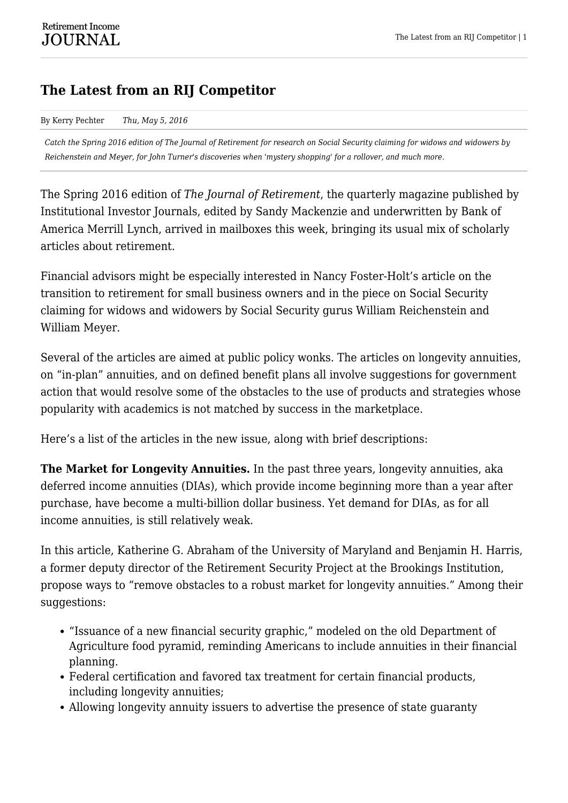## **The Latest from an RIJ Competitor**

By Kerry Pechter *Thu, May 5, 2016*

*Catch the Spring 2016 edition of The Journal of Retirement for research on Social Security claiming for widows and widowers by Reichenstein and Meyer, for John Turner's discoveries when 'mystery shopping' for a rollover, and much more.*

The Spring 2016 edition of *The Journal of Retirement*, the quarterly magazine published by Institutional Investor Journals, edited by Sandy Mackenzie and underwritten by Bank of America Merrill Lynch, arrived in mailboxes this week, bringing its usual mix of scholarly articles about retirement.

Financial advisors might be especially interested in Nancy Foster-Holt's article on the transition to retirement for small business owners and in the piece on Social Security claiming for widows and widowers by Social Security gurus William Reichenstein and William Meyer.

Several of the articles are aimed at public policy wonks. The articles on longevity annuities, on "in-plan" annuities, and on defined benefit plans all involve suggestions for government action that would resolve some of the obstacles to the use of products and strategies whose popularity with academics is not matched by success in the marketplace.

Here's a list of the articles in the new issue, along with brief descriptions:

**The Market for Longevity Annuities.** In the past three years, longevity annuities, aka deferred income annuities (DIAs), which provide income beginning more than a year after purchase, have become a multi-billion dollar business. Yet demand for DIAs, as for all income annuities, is still relatively weak.

In this article, Katherine G. Abraham of the University of Maryland and Benjamin H. Harris, a former deputy director of the Retirement Security Project at the Brookings Institution, propose ways to "remove obstacles to a robust market for longevity annuities." Among their suggestions:

- "Issuance of a new financial security graphic," modeled on the old Department of Agriculture food pyramid, reminding Americans to include annuities in their financial planning.
- Federal certification and favored tax treatment for certain financial products, including longevity annuities;
- Allowing longevity annuity issuers to advertise the presence of state guaranty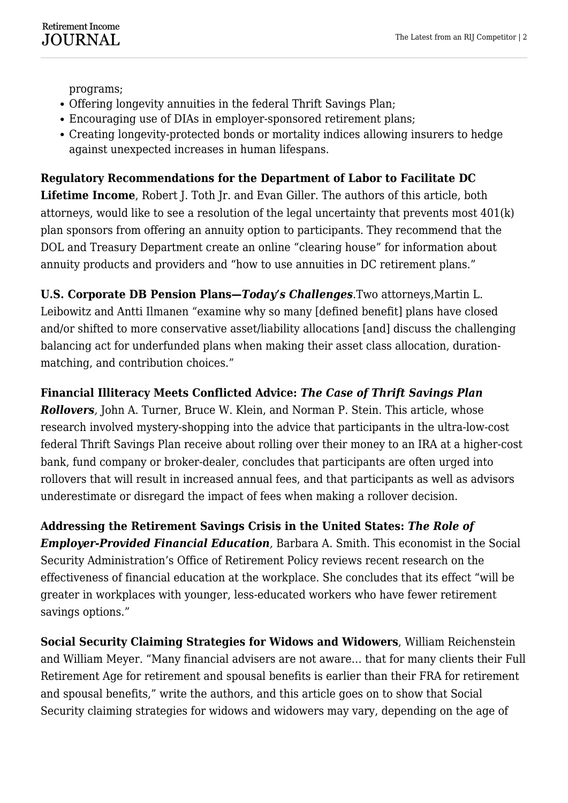programs;

- Offering longevity annuities in the federal Thrift Savings Plan;
- Encouraging use of DIAs in employer-sponsored retirement plans;
- Creating longevity-protected bonds or mortality indices allowing insurers to hedge against unexpected increases in human lifespans.

**Regulatory Recommendations for the Department of Labor to Facilitate DC**

**Lifetime Income**, Robert J. Toth Jr. and Evan Giller. The authors of this article, both attorneys, would like to see a resolution of the legal uncertainty that prevents most 401(k) plan sponsors from offering an annuity option to participants. They recommend that the DOL and Treasury Department create an online "clearing house" for information about annuity products and providers and "how to use annuities in DC retirement plans."

**U.S. Corporate DB Pension Plans—***Today's Challenges*.Two attorneys,Martin L. Leibowitz and Antti Ilmanen "examine why so many [defined benefit] plans have closed and/or shifted to more conservative asset/liability allocations [and] discuss the challenging balancing act for underfunded plans when making their asset class allocation, durationmatching, and contribution choices."

**Financial Illiteracy Meets Conflicted Advice:** *The Case of Thrift Savings Plan Rollovers*, John A. Turner, Bruce W. Klein, and Norman P. Stein. This article, whose research involved mystery-shopping into the advice that participants in the ultra-low-cost federal Thrift Savings Plan receive about rolling over their money to an IRA at a higher-cost bank, fund company or broker-dealer, concludes that participants are often urged into rollovers that will result in increased annual fees, and that participants as well as advisors underestimate or disregard the impact of fees when making a rollover decision.

**Addressing the Retirement Savings Crisis in the United States:** *The Role of Employer-Provided Financial Education,* Barbara A. Smith. This economist in the Social Security Administration's Office of Retirement Policy reviews recent research on the effectiveness of financial education at the workplace. She concludes that its effect "will be greater in workplaces with younger, less-educated workers who have fewer retirement savings options."

**Social Security Claiming Strategies for Widows and Widowers**, William Reichenstein and William Meyer. "Many financial advisers are not aware… that for many clients their Full Retirement Age for retirement and spousal benefits is earlier than their FRA for retirement and spousal benefits," write the authors, and this article goes on to show that Social Security claiming strategies for widows and widowers may vary, depending on the age of